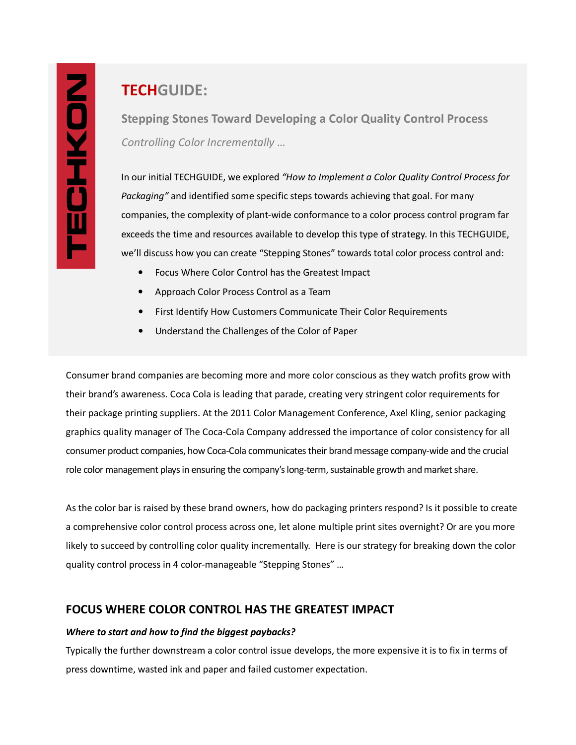# **TECHGUIDE:**

**Stepping Stones Toward Developing a Color Quality Control Process**  *Controlling Color Incrementally …* 

In our initial TECHGUIDE, we explored *"How to Implement a Color Quality Control Process for Packaging"* and identified some specific steps towards achieving that goal. For many companies, the complexity of plant-wide conformance to a color process control program far exceeds the time and resources available to develop this type of strategy. In this TECHGUIDE, we'll discuss how you can create "Stepping Stones" towards total color process control and:

- Focus Where Color Control has the Greatest Impact
- Approach Color Process Control as a Team
- First Identify How Customers Communicate Their Color Requirements
- Understand the Challenges of the Color of Paper

Consumer brand companies are becoming more and more color conscious as they watch profits grow with their brand's awareness. Coca Cola is leading that parade, creating very stringent color requirements for their package printing suppliers. At the 2011 Color Management Conference, Axel Kling, senior packaging graphics quality manager of The Coca-Cola Company addressed the importance of color consistency for all consumer product companies, how Coca-Cola communicates their brand message company-wide and the crucial role color management plays in ensuring the company's long-term, sustainable growth and market share.

As the color bar is raised by these brand owners, how do packaging printers respond? Is it possible to create a comprehensive color control process across one, let alone multiple print sites overnight? Or are you more likely to succeed by controlling color quality incrementally. Here is our strategy for breaking down the color quality control process in 4 color-manageable "Stepping Stones" …

## **FOCUS WHERE COLOR CONTROL HAS THE GREATEST IMPACT**

## *Where to start and how to find the biggest paybacks?*

Typically the further downstream a color control issue develops, the more expensive it is to fix in terms of press downtime, wasted ink and paper and failed customer expectation.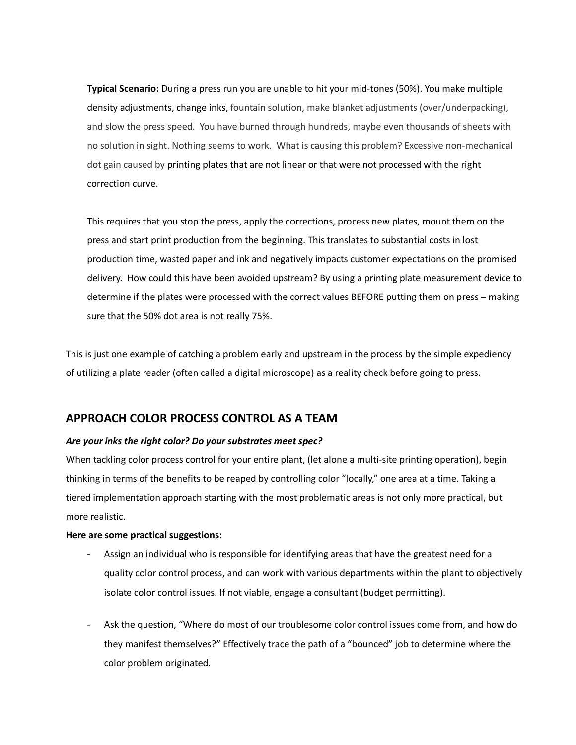**Typical Scenario:** During a press run you are unable to hit your mid-tones (50%). You make multiple density adjustments, change inks, fountain solution, make blanket adjustments (over/underpacking), and slow the press speed. You have burned through hundreds, maybe even thousands of sheets with no solution in sight. Nothing seems to work. What is causing this problem? Excessive non-mechanical dot gain caused by printing plates that are not linear or that were not processed with the right correction curve.

This requires that you stop the press, apply the corrections, process new plates, mount them on the press and start print production from the beginning. This translates to substantial costs in lost production time, wasted paper and ink and negatively impacts customer expectations on the promised delivery. How could this have been avoided upstream? By using a printing plate measurement device to determine if the plates were processed with the correct values BEFORE putting them on press – making sure that the 50% dot area is not really 75%.

This is just one example of catching a problem early and upstream in the process by the simple expediency of utilizing a plate reader (often called a digital microscope) as a reality check before going to press.

## **APPROACH COLOR PROCESS CONTROL AS A TEAM**

## *Are your inks the right color? Do your substrates meet spec?*

When tackling color process control for your entire plant, (let alone a multi-site printing operation), begin thinking in terms of the benefits to be reaped by controlling color "locally," one area at a time. Taking a tiered implementation approach starting with the most problematic areas is not only more practical, but more realistic.

## **Here are some practical suggestions:**

- Assign an individual who is responsible for identifying areas that have the greatest need for a quality color control process, and can work with various departments within the plant to objectively isolate color control issues. If not viable, engage a consultant (budget permitting).
- Ask the question, "Where do most of our troublesome color control issues come from, and how do they manifest themselves?" Effectively trace the path of a "bounced" job to determine where the color problem originated.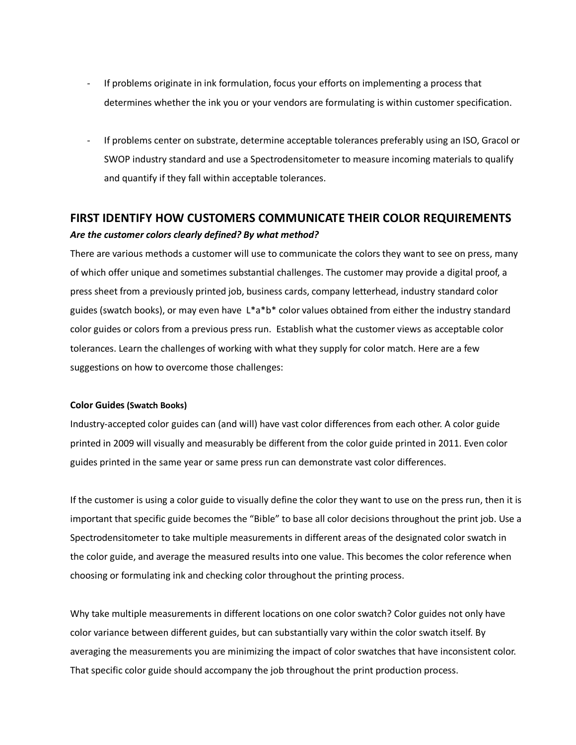- If problems originate in ink formulation, focus your efforts on implementing a process that determines whether the ink you or your vendors are formulating is within customer specification.
- If problems center on substrate, determine acceptable tolerances preferably using an ISO, Gracol or SWOP industry standard and use a Spectrodensitometer to measure incoming materials to qualify and quantify if they fall within acceptable tolerances.

## **FIRST IDENTIFY HOW CUSTOMERS COMMUNICATE THEIR COLOR REQUIREMENTS**  *Are the customer colors clearly defined? By what method?*

There are various methods a customer will use to communicate the colors they want to see on press, many of which offer unique and sometimes substantial challenges. The customer may provide a digital proof, a press sheet from a previously printed job, business cards, company letterhead, industry standard color guides (swatch books), or may even have  $L^*a^*b^*$  color values obtained from either the industry standard color guides or colors from a previous press run. Establish what the customer views as acceptable color tolerances. Learn the challenges of working with what they supply for color match. Here are a few suggestions on how to overcome those challenges:

#### **Color Guides (Swatch Books)**

Industry-accepted color guides can (and will) have vast color differences from each other. A color guide printed in 2009 will visually and measurably be different from the color guide printed in 2011. Even color guides printed in the same year or same press run can demonstrate vast color differences.

If the customer is using a color guide to visually define the color they want to use on the press run, then it is important that specific guide becomes the "Bible" to base all color decisions throughout the print job. Use a Spectrodensitometer to take multiple measurements in different areas of the designated color swatch in the color guide, and average the measured results into one value. This becomes the color reference when choosing or formulating ink and checking color throughout the printing process.

Why take multiple measurements in different locations on one color swatch? Color guides not only have color variance between different guides, but can substantially vary within the color swatch itself. By averaging the measurements you are minimizing the impact of color swatches that have inconsistent color. That specific color guide should accompany the job throughout the print production process.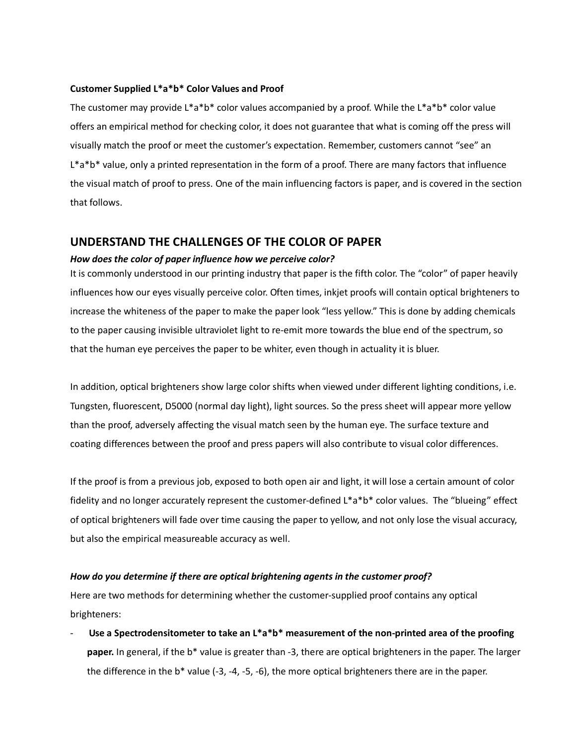#### **Customer Supplied L\*a\*b\* Color Values and Proof**

The customer may provide  $L^*a^*b^*$  color values accompanied by a proof. While the  $L^*a^*b^*$  color value offers an empirical method for checking color, it does not guarantee that what is coming off the press will visually match the proof or meet the customer's expectation. Remember, customers cannot "see" an L\*a\*b\* value, only a printed representation in the form of a proof. There are many factors that influence the visual match of proof to press. One of the main influencing factors is paper, and is covered in the section that follows.

## **UNDERSTAND THE CHALLENGES OF THE COLOR OF PAPER**

#### *How does the color of paper influence how we perceive color?*

It is commonly understood in our printing industry that paper is the fifth color. The "color" of paper heavily influences how our eyes visually perceive color. Often times, inkjet proofs will contain optical brighteners to increase the whiteness of the paper to make the paper look "less yellow." This is done by adding chemicals to the paper causing invisible ultraviolet light to re-emit more towards the blue end of the spectrum, so that the human eye perceives the paper to be whiter, even though in actuality it is bluer.

In addition, optical brighteners show large color shifts when viewed under different lighting conditions, i.e. Tungsten, fluorescent, D5000 (normal day light), light sources. So the press sheet will appear more yellow than the proof, adversely affecting the visual match seen by the human eye. The surface texture and coating differences between the proof and press papers will also contribute to visual color differences.

If the proof is from a previous job, exposed to both open air and light, it will lose a certain amount of color fidelity and no longer accurately represent the customer-defined L\*a\*b\* color values. The "blueing" effect of optical brighteners will fade over time causing the paper to yellow, and not only lose the visual accuracy, but also the empirical measureable accuracy as well.

#### *How do you determine if there are optical brightening agents in the customer proof?*

Here are two methods for determining whether the customer-supplied proof contains any optical brighteners:

Use a Spectrodensitometer to take an L\*a\*b\* measurement of the non-printed area of the proofing **paper.** In general, if the b\* value is greater than -3, there are optical brighteners in the paper. The larger the difference in the b\* value (-3, -4, -5, -6), the more optical brighteners there are in the paper.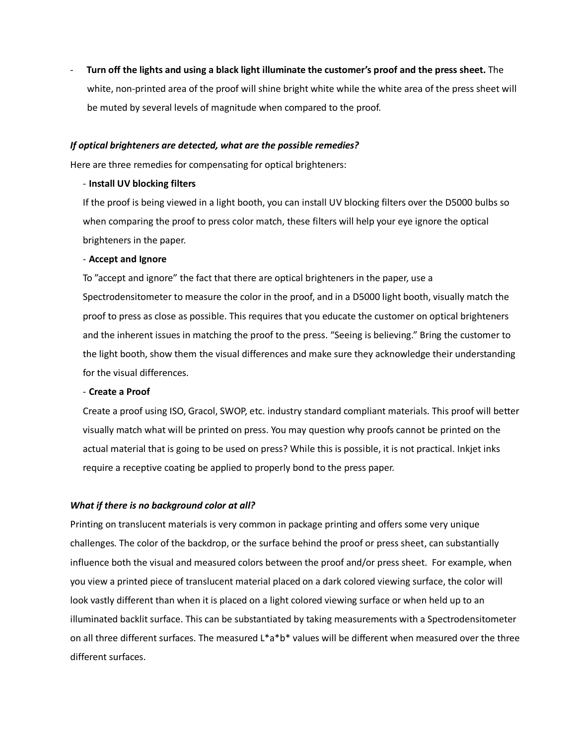- **Turn off the lights and using a black light illuminate the customer's proof and the press sheet.** The white, non-printed area of the proof will shine bright white while the white area of the press sheet will be muted by several levels of magnitude when compared to the proof.

#### *If optical brighteners are detected, what are the possible remedies?*

Here are three remedies for compensating for optical brighteners:

#### - **Install UV blocking filters**

If the proof is being viewed in a light booth, you can install UV blocking filters over the D5000 bulbs so when comparing the proof to press color match, these filters will help your eye ignore the optical brighteners in the paper.

#### - **Accept and Ignore**

To "accept and ignore" the fact that there are optical brighteners in the paper, use a Spectrodensitometer to measure the color in the proof, and in a D5000 light booth, visually match the proof to press as close as possible. This requires that you educate the customer on optical brighteners and the inherent issues in matching the proof to the press. "Seeing is believing." Bring the customer to the light booth, show them the visual differences and make sure they acknowledge their understanding for the visual differences.

#### - **Create a Proof**

Create a proof using ISO, Gracol, SWOP, etc. industry standard compliant materials. This proof will better visually match what will be printed on press. You may question why proofs cannot be printed on the actual material that is going to be used on press? While this is possible, it is not practical. Inkjet inks require a receptive coating be applied to properly bond to the press paper.

## *What if there is no background color at all?*

Printing on translucent materials is very common in package printing and offers some very unique challenges. The color of the backdrop, or the surface behind the proof or press sheet, can substantially influence both the visual and measured colors between the proof and/or press sheet. For example, when you view a printed piece of translucent material placed on a dark colored viewing surface, the color will look vastly different than when it is placed on a light colored viewing surface or when held up to an illuminated backlit surface. This can be substantiated by taking measurements with a Spectrodensitometer on all three different surfaces. The measured L\*a\*b\* values will be different when measured over the three different surfaces.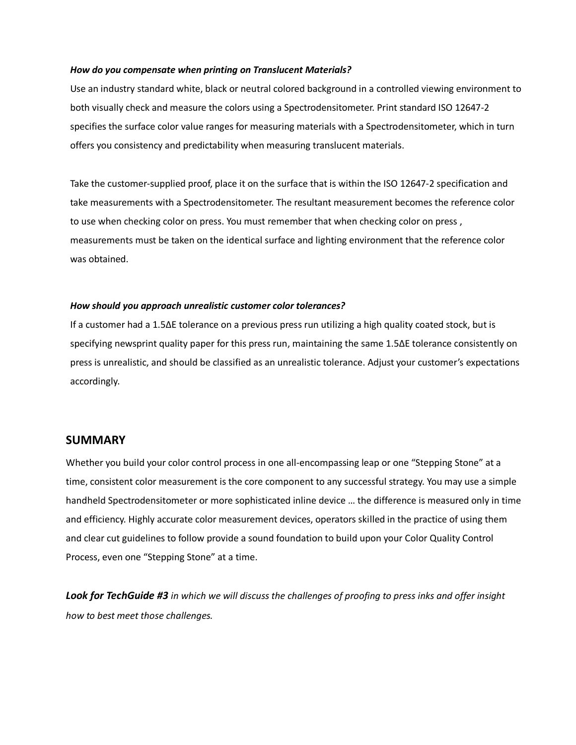#### *How do you compensate when printing on Translucent Materials?*

Use an industry standard white, black or neutral colored background in a controlled viewing environment to both visually check and measure the colors using a Spectrodensitometer. Print standard ISO 12647-2 specifies the surface color value ranges for measuring materials with a Spectrodensitometer, which in turn offers you consistency and predictability when measuring translucent materials.

Take the customer-supplied proof, place it on the surface that is within the ISO 12647-2 specification and take measurements with a Spectrodensitometer. The resultant measurement becomes the reference color to use when checking color on press. You must remember that when checking color on press , measurements must be taken on the identical surface and lighting environment that the reference color was obtained.

#### *How should you approach unrealistic customer color tolerances?*

If a customer had a 1.5∆E tolerance on a previous press run utilizing a high quality coated stock, but is specifying newsprint quality paper for this press run, maintaining the same 1.5∆E tolerance consistently on press is unrealistic, and should be classified as an unrealistic tolerance. Adjust your customer's expectations accordingly.

## **SUMMARY**

Whether you build your color control process in one all-encompassing leap or one "Stepping Stone" at a time, consistent color measurement is the core component to any successful strategy. You may use a simple handheld Spectrodensitometer or more sophisticated inline device … the difference is measured only in time and efficiency. Highly accurate color measurement devices, operators skilled in the practice of using them and clear cut guidelines to follow provide a sound foundation to build upon your Color Quality Control Process, even one "Stepping Stone" at a time.

*Look for TechGuide #3 in which we will discuss the challenges of proofing to press inks and offer insight how to best meet those challenges.*